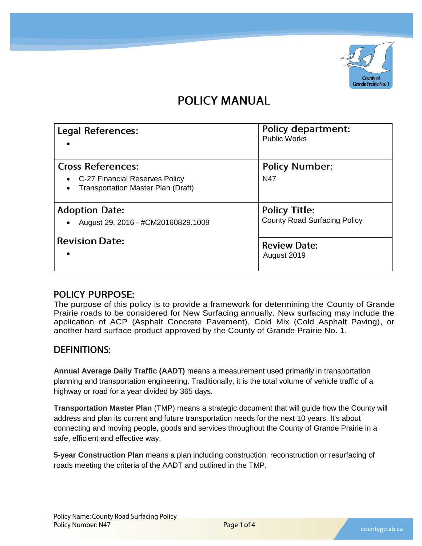

# **POLICY MANUAL**

| Legal References:                                                                                         | <b>Policy department:</b><br><b>Public Works</b>            |
|-----------------------------------------------------------------------------------------------------------|-------------------------------------------------------------|
| <b>Cross References:</b><br>• C-27 Financial Reserves Policy<br><b>Transportation Master Plan (Draft)</b> | <b>Policy Number:</b><br>N47                                |
| <b>Adoption Date:</b><br>August 29, 2016 - #CM20160829.1009                                               | <b>Policy Title:</b><br><b>County Road Surfacing Policy</b> |
| <b>Revision Date:</b>                                                                                     | <b>Review Date:</b><br>August 2019                          |

### **POLICY PURPOSE:**

The purpose of this policy is to provide a framework for determining the County of Grande Prairie roads to be considered for New Surfacing annually. New surfacing may include the application of ACP (Asphalt Concrete Pavement), Cold Mix (Cold Asphalt Paving), or another hard surface product approved by the County of Grande Prairie No. 1.

### **DEFINITIONS:**

**Annual Average Daily Traffic (AADT)** means a measurement used primarily in transportation planning and transportation engineering. Traditionally, it is the total volume of vehicle traffic of a highway or road for a year divided by 365 days.

**Transportation Master Plan** (TMP) means a strategic document that will guide how the County will address and plan its current and future transportation needs for the next 10 years. It's about connecting and moving people, goods and services throughout the County of Grande Prairie in a safe, efficient and effective way.

**5-year Construction Plan** means a plan including construction, reconstruction or resurfacing of roads meeting the criteria of the AADT and outlined in the TMP.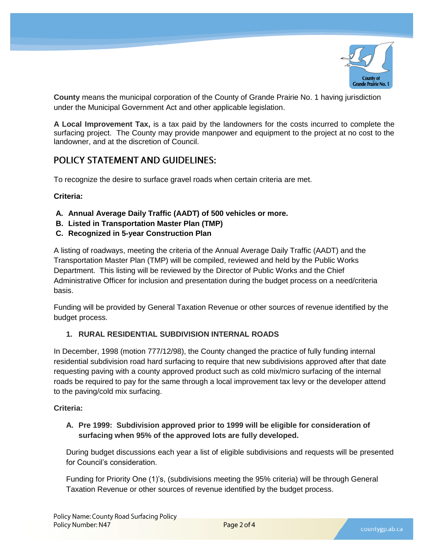

**County** means the municipal corporation of the County of Grande Prairie No. 1 having jurisdiction under the Municipal Government Act and other applicable legislation.

**A Local Improvement Tax,** is a tax paid by the landowners for the costs incurred to complete the surfacing project. The County may provide manpower and equipment to the project at no cost to the landowner, and at the discretion of Council.

### **POLICY STATEMENT AND GUIDELINES:**

To recognize the desire to surface gravel roads when certain criteria are met.

#### **Criteria:**

- **A. Annual Average Daily Traffic (AADT) of 500 vehicles or more.**
- **B. Listed in Transportation Master Plan (TMP)**
- **C. Recognized in 5-year Construction Plan**

A listing of roadways, meeting the criteria of the Annual Average Daily Traffic (AADT) and the Transportation Master Plan (TMP) will be compiled, reviewed and held by the Public Works Department. This listing will be reviewed by the Director of Public Works and the Chief Administrative Officer for inclusion and presentation during the budget process on a need/criteria basis.

Funding will be provided by General Taxation Revenue or other sources of revenue identified by the budget process.

#### **1. RURAL RESIDENTIAL SUBDIVISION INTERNAL ROADS**

In December, 1998 (motion 777/12/98), the County changed the practice of fully funding internal residential subdivision road hard surfacing to require that new subdivisions approved after that date requesting paving with a county approved product such as cold mix/micro surfacing of the internal roads be required to pay for the same through a local improvement tax levy or the developer attend to the paving/cold mix surfacing.

#### **Criteria:**

**A. Pre 1999: Subdivision approved prior to 1999 will be eligible for consideration of surfacing when 95% of the approved lots are fully developed.**

During budget discussions each year a list of eligible subdivisions and requests will be presented for Council's consideration.

Funding for Priority One (1)'s, (subdivisions meeting the 95% criteria) will be through General Taxation Revenue or other sources of revenue identified by the budget process.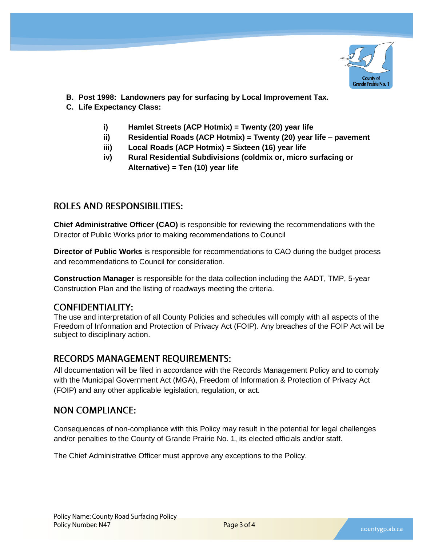

- **B. Post 1998: Landowners pay for surfacing by Local Improvement Tax.**
- **C. Life Expectancy Class:**
	- **i) Hamlet Streets (ACP Hotmix) = Twenty (20) year life**
	- **ii) Residential Roads (ACP Hotmix) = Twenty (20) year life – pavement**
	- **iii) Local Roads (ACP Hotmix) = Sixteen (16) year life**
	- **iv) Rural Residential Subdivisions (coldmix or, micro surfacing or Alternative) = Ten (10) year life**

### **ROLES AND RESPONSIBILITIES:**

**Chief Administrative Officer (CAO)** is responsible for reviewing the recommendations with the Director of Public Works prior to making recommendations to Council

**Director of Public Works** is responsible for recommendations to CAO during the budget process and recommendations to Council for consideration.

**Construction Manager** is responsible for the data collection including the AADT, TMP, 5-year Construction Plan and the listing of roadways meeting the criteria.

### **CONFIDENTIALITY:**

The use and interpretation of all County Policies and schedules will comply with all aspects of the Freedom of Information and Protection of Privacy Act (FOIP). Any breaches of the FOIP Act will be subject to disciplinary action.

### **RECORDS MANAGEMENT REOUIREMENTS:**

All documentation will be filed in accordance with the Records Management Policy and to comply with the Municipal Government Act (MGA), Freedom of Information & Protection of Privacy Act (FOIP) and any other applicable legislation, regulation, or act.

### **NON COMPLIANCE:**

Consequences of non-compliance with this Policy may result in the potential for legal challenges and/or penalties to the County of Grande Prairie No. 1, its elected officials and/or staff.

The Chief Administrative Officer must approve any exceptions to the Policy.